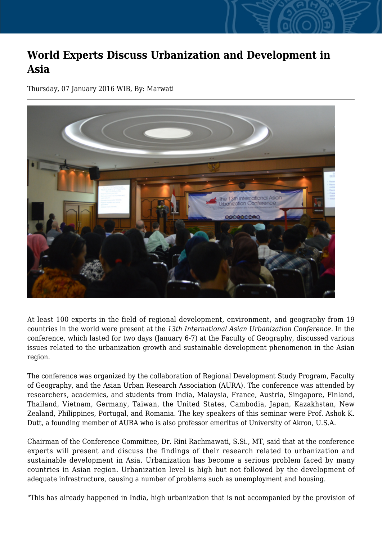## **World Experts Discuss Urbanization and Development in Asia**

Thursday, 07 January 2016 WIB, By: Marwati



At least 100 experts in the field of regional development, environment, and geography from 19 countries in the world were present at the *13th International Asian Urbanization Conference*. In the conference, which lasted for two days (January 6-7) at the Faculty of Geography, discussed various issues related to the urbanization growth and sustainable development phenomenon in the Asian region.

The conference was organized by the collaboration of Regional Development Study Program, Faculty of Geography, and the Asian Urban Research Association (AURA). The conference was attended by researchers, academics, and students from India, Malaysia, France, Austria, Singapore, Finland, Thailand, Vietnam, Germany, Taiwan, the United States, Cambodia, Japan, Kazakhstan, New Zealand, Philippines, Portugal, and Romania. The key speakers of this seminar were Prof. Ashok K. Dutt, a founding member of AURA who is also professor emeritus of University of Akron, U.S.A.

Chairman of the Conference Committee, Dr. Rini Rachmawati, S.Si., MT, said that at the conference experts will present and discuss the findings of their research related to urbanization and sustainable development in Asia. Urbanization has become a serious problem faced by many countries in Asian region. Urbanization level is high but not followed by the development of adequate infrastructure, causing a number of problems such as unemployment and housing.

"This has already happened in India, high urbanization that is not accompanied by the provision of